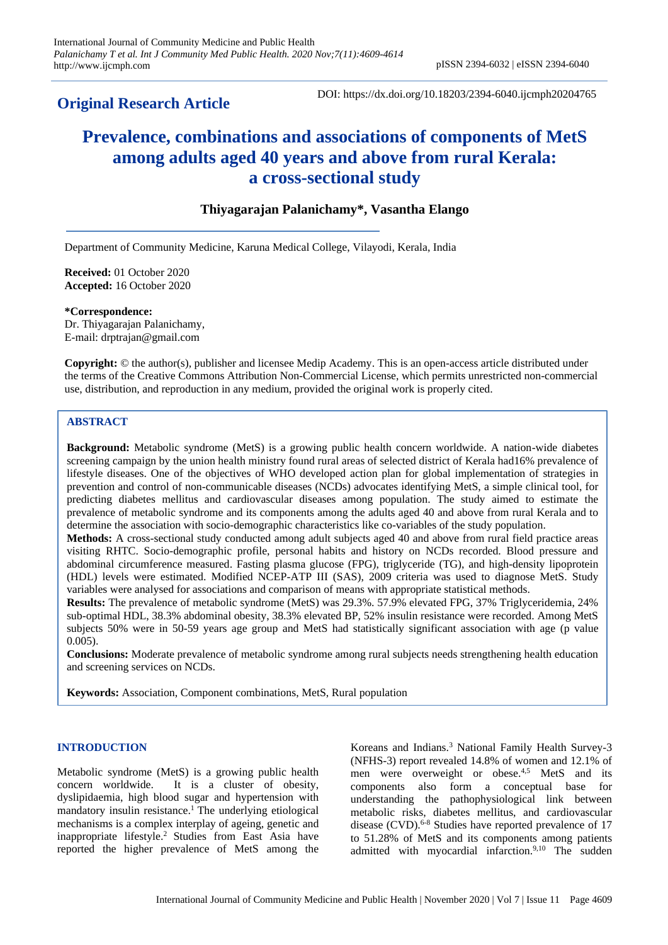## **Original Research Article**

DOI: https://dx.doi.org/10.18203/2394-6040.ijcmph20204765

# **Prevalence, combinations and associations of components of MetS among adults aged 40 years and above from rural Kerala: a cross-sectional study**

## **Thiyagarajan Palanichamy\*, Vasantha Elango**

Department of Community Medicine, Karuna Medical College, Vilayodi, Kerala, India

**Received:** 01 October 2020 **Accepted:** 16 October 2020

**\*Correspondence:** Dr. Thiyagarajan Palanichamy, E-mail: drptrajan@gmail.com

**Copyright:** © the author(s), publisher and licensee Medip Academy. This is an open-access article distributed under the terms of the Creative Commons Attribution Non-Commercial License, which permits unrestricted non-commercial use, distribution, and reproduction in any medium, provided the original work is properly cited.

## **ABSTRACT**

**Background:** Metabolic syndrome (MetS) is a growing public health concern worldwide. A nation-wide diabetes screening campaign by the union health ministry found rural areas of selected district of Kerala had16% prevalence of lifestyle diseases. One of the objectives of WHO developed action plan for global implementation of strategies in prevention and control of non-communicable diseases (NCDs) advocates identifying MetS, a simple clinical tool, for predicting diabetes mellitus and cardiovascular diseases among population. The study aimed to estimate the prevalence of metabolic syndrome and its components among the adults aged 40 and above from rural Kerala and to determine the association with socio-demographic characteristics like co-variables of the study population.

**Methods:** A cross-sectional study conducted among adult subjects aged 40 and above from rural field practice areas visiting RHTC. Socio-demographic profile, personal habits and history on NCDs recorded. Blood pressure and abdominal circumference measured. Fasting plasma glucose (FPG), triglyceride (TG), and high-density lipoprotein (HDL) levels were estimated. Modified NCEP-ATP III (SAS), 2009 criteria was used to diagnose MetS. Study variables were analysed for associations and comparison of means with appropriate statistical methods.

**Results:** The prevalence of metabolic syndrome (MetS) was 29.3%. 57.9% elevated FPG, 37% Triglyceridemia, 24% sub-optimal HDL, 38.3% abdominal obesity, 38.3% elevated BP, 52% insulin resistance were recorded. Among MetS subjects 50% were in 50-59 years age group and MetS had statistically significant association with age (p value 0.005).

**Conclusions:** Moderate prevalence of metabolic syndrome among rural subjects needs strengthening health education and screening services on NCDs.

**Keywords:** Association, Component combinations, MetS, Rural population

## **INTRODUCTION**

Metabolic syndrome (MetS) is a growing public health concern worldwide. It is a cluster of obesity, dyslipidaemia, high blood sugar and hypertension with mandatory insulin resistance.<sup>1</sup> The underlying etiological mechanisms is a complex interplay of ageing, genetic and inappropriate lifestyle.<sup>2</sup> Studies from East Asia have reported the higher prevalence of MetS among the

Koreans and Indians.<sup>3</sup> National Family Health Survey-3 (NFHS-3) report revealed 14.8% of women and 12.1% of men were overweight or obese.<sup>4,5</sup> MetS and its components also form a conceptual base for understanding the pathophysiological link between metabolic risks, diabetes mellitus, and cardiovascular disease (CVD). 6-8 Studies have reported prevalence of 17 to 51.28% of MetS and its components among patients admitted with myocardial infarction.<sup>9,10</sup> The sudden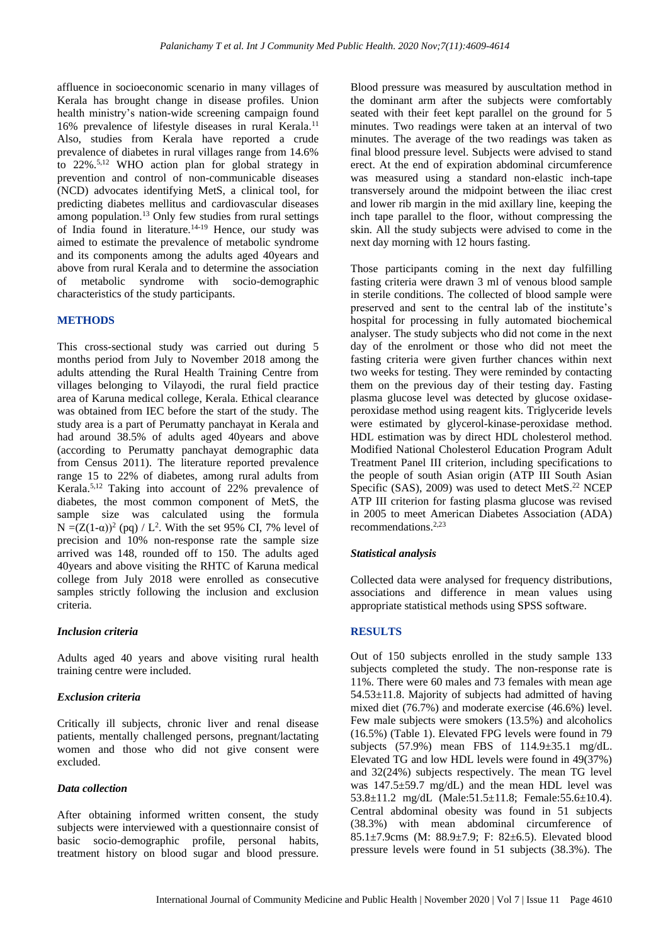affluence in socioeconomic scenario in many villages of Kerala has brought change in disease profiles. Union health ministry's nation-wide screening campaign found 16% prevalence of lifestyle diseases in rural Kerala.<sup>11</sup> Also, studies from Kerala have reported a crude prevalence of diabetes in rural villages range from 14.6% to 22%.5,12 WHO action plan for global strategy in prevention and control of non-communicable diseases (NCD) advocates identifying MetS, a clinical tool, for predicting diabetes mellitus and cardiovascular diseases among population.<sup>13</sup> Only few studies from rural settings of India found in literature.<sup>14-19</sup> Hence, our study was aimed to estimate the prevalence of metabolic syndrome and its components among the adults aged 40years and above from rural Kerala and to determine the association of metabolic syndrome with socio-demographic characteristics of the study participants.

#### **METHODS**

This cross-sectional study was carried out during 5 months period from July to November 2018 among the adults attending the Rural Health Training Centre from villages belonging to Vilayodi, the rural field practice area of Karuna medical college, Kerala. Ethical clearance was obtained from IEC before the start of the study. The study area is a part of Perumatty panchayat in Kerala and had around 38.5% of adults aged 40years and above (according to Perumatty panchayat demographic data from Census 2011). The literature reported prevalence range 15 to 22% of diabetes, among rural adults from Kerala.5,12 Taking into account of 22% prevalence of diabetes, the most common component of MetS, the sample size was calculated using the formula  $N = (Z(1-\alpha))^2$  (pq) / L<sup>2</sup>. With the set 95% CI, 7% level of precision and 10% non-response rate the sample size arrived was 148, rounded off to 150. The adults aged 40years and above visiting the RHTC of Karuna medical college from July 2018 were enrolled as consecutive samples strictly following the inclusion and exclusion criteria.

#### *Inclusion criteria*

Adults aged 40 years and above visiting rural health training centre were included.

#### *Exclusion criteria*

Critically ill subjects, chronic liver and renal disease patients, mentally challenged persons, pregnant/lactating women and those who did not give consent were excluded.

#### *Data collection*

After obtaining informed written consent, the study subjects were interviewed with a questionnaire consist of basic socio-demographic profile, personal habits, treatment history on blood sugar and blood pressure.

Blood pressure was measured by auscultation method in the dominant arm after the subjects were comfortably seated with their feet kept parallel on the ground for 5 minutes. Two readings were taken at an interval of two minutes. The average of the two readings was taken as final blood pressure level. Subjects were advised to stand erect. At the end of expiration abdominal circumference was measured using a standard non-elastic inch-tape transversely around the midpoint between the iliac crest and lower rib margin in the mid axillary line, keeping the inch tape parallel to the floor, without compressing the skin. All the study subjects were advised to come in the next day morning with 12 hours fasting.

Those participants coming in the next day fulfilling fasting criteria were drawn 3 ml of venous blood sample in sterile conditions. The collected of blood sample were preserved and sent to the central lab of the institute's hospital for processing in fully automated biochemical analyser. The study subjects who did not come in the next day of the enrolment or those who did not meet the fasting criteria were given further chances within next two weeks for testing. They were reminded by contacting them on the previous day of their testing day. Fasting plasma glucose level was detected by glucose oxidaseperoxidase method using reagent kits. Triglyceride levels were estimated by glycerol-kinase-peroxidase method. HDL estimation was by direct HDL cholesterol method. Modified National Cholesterol Education Program Adult Treatment Panel III criterion, including specifications to the people of south Asian origin (ATP III South Asian Specific (SAS), 2009) was used to detect MetS. <sup>22</sup> NCEP ATP III criterion for fasting plasma glucose was revised in 2005 to meet American Diabetes Association (ADA) recommendations.2,23

#### *Statistical analysis*

Collected data were analysed for frequency distributions, associations and difference in mean values using appropriate statistical methods using SPSS software.

#### **RESULTS**

Out of 150 subjects enrolled in the study sample 133 subjects completed the study. The non-response rate is 11%. There were 60 males and 73 females with mean age 54.53±11.8. Majority of subjects had admitted of having mixed diet (76.7%) and moderate exercise (46.6%) level. Few male subjects were smokers (13.5%) and alcoholics (16.5%) (Table 1). Elevated FPG levels were found in 79 subjects  $(57.9\%)$  mean FBS of  $114.9\pm35.1$  mg/dL. Elevated TG and low HDL levels were found in 49(37%) and 32(24%) subjects respectively. The mean TG level was 147.5±59.7 mg/dL) and the mean HDL level was 53.8±11.2 mg/dL (Male:51.5±11.8; Female:55.6±10.4). Central abdominal obesity was found in 51 subjects (38.3%) with mean abdominal circumference of 85.1±7.9cms (M: 88.9±7.9; F: 82±6.5). Elevated blood pressure levels were found in 51 subjects (38.3%). The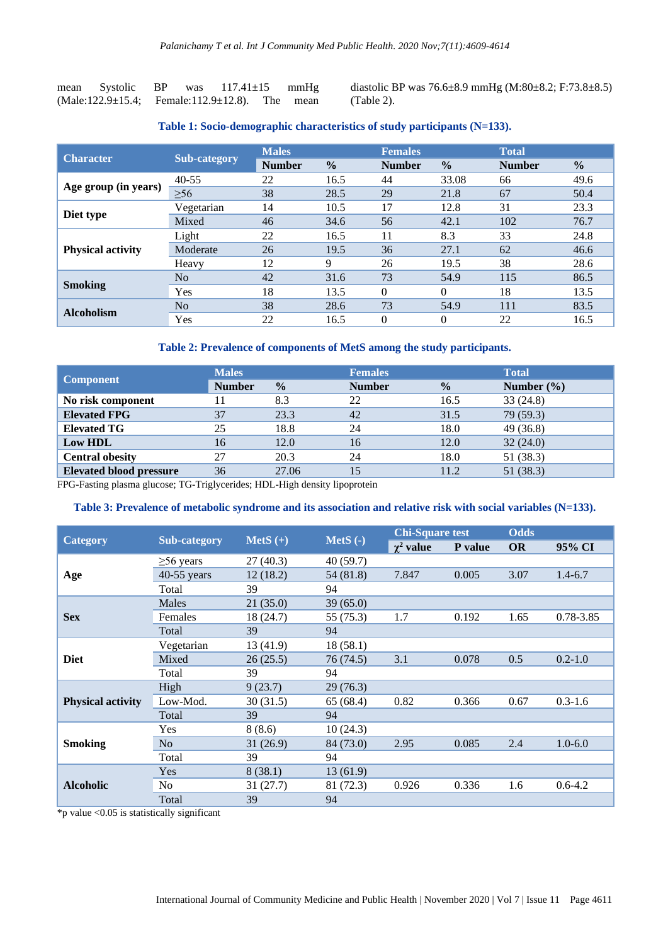| mean | Systolic          | BP | was                         | $117.41 \pm 15$ |     | mmHg |
|------|-------------------|----|-----------------------------|-----------------|-----|------|
|      | (Male:122.9±15.4; |    | Female: $112.9 \pm 12.8$ ). |                 | The | mean |

diastolic BP was 76.6±8.9 mmHg (M:80±8.2; F:73.8±8.5) (Table 2).

**Table 1: Socio-demographic characteristics of study participants (N=133).**

| <b>Character</b>         |                | <b>Males</b>  |               | <b>Females</b> |               | <b>Total</b>  |               |
|--------------------------|----------------|---------------|---------------|----------------|---------------|---------------|---------------|
|                          | Sub-category   | <b>Number</b> | $\frac{0}{0}$ | <b>Number</b>  | $\frac{0}{0}$ | <b>Number</b> | $\frac{0}{0}$ |
|                          | $40 - 55$      | 22            | 16.5          | 44             | 33.08         | 66            | 49.6          |
| Age group (in years)     | $\geq 56$      | 38            | 28.5          | 29             | 21.8          | 67            | 50.4          |
|                          | Vegetarian     | 14            | 10.5          | 17             | 12.8          | 31            | 23.3          |
| Diet type                | Mixed          | 46            | 34.6          | 56             | 42.1          | 102           | 76.7          |
|                          | Light          | 22            | 16.5          | 11             | 8.3           | 33            | 24.8          |
| <b>Physical activity</b> | Moderate       | 26            | 19.5          | 36             | 27.1          | 62            | 46.6          |
|                          | Heavy          | 12            | 9             | 26             | 19.5          | 38            | 28.6          |
|                          | N <sub>o</sub> | 42            | 31.6          | 73             | 54.9          | 115           | 86.5          |
| <b>Smoking</b>           | Yes            | 18            | 13.5          | $\Omega$       | $\Omega$      | 18            | 13.5          |
| <b>Alcoholism</b>        | N <sub>o</sub> | 38            | 28.6          | 73             | 54.9          | 111           | 83.5          |
|                          | Yes            | 22            | 16.5          | 0              | $\theta$      | 22            | 16.5          |

#### **Table 2: Prevalence of components of MetS among the study participants.**

|                                | <b>Males</b>  |               | <b>Females</b> | <b>Total</b>  |                |  |
|--------------------------------|---------------|---------------|----------------|---------------|----------------|--|
| <b>Component</b>               | <b>Number</b> | $\frac{0}{0}$ | <b>Number</b>  | $\frac{0}{0}$ | Number $(\% )$ |  |
| No risk component              |               | 8.3           | 22             | 16.5          | 33(24.8)       |  |
| <b>Elevated FPG</b>            | 37            | 23.3          | 42             | 31.5          | 79 (59.3)      |  |
| <b>Elevated TG</b>             | 25            | 18.8          | 24             | 18.0          | 49(36.8)       |  |
| Low HDL                        | 16            | 12.0          | 16             | 12.0          | 32(24.0)       |  |
| <b>Central obesity</b>         | 27            | 20.3          | 24             | 18.0          | 51 (38.3)      |  |
| <b>Elevated blood pressure</b> | 36            | 27.06         | 15             | 11.2          | 51 (38.3)      |  |

FPG-Fasting plasma glucose; TG-Triglycerides; HDL-High density lipoprotein

#### **Table 3: Prevalence of metabolic syndrome and its association and relative risk with social variables (N=133).**

|                          |                     |            |            | <b>Chi-Square test</b> |         | <b>Odds</b> |             |  |
|--------------------------|---------------------|------------|------------|------------------------|---------|-------------|-------------|--|
| <b>Category</b>          | <b>Sub-category</b> | $Mets (+)$ | $Mets$ (-) | $\chi^2$ value         | P value | <b>OR</b>   | 95% CI      |  |
|                          | $\geq 56$ years     | 27(40.3)   | 40 (59.7)  |                        |         |             |             |  |
| Age                      | $40-55$ years       | 12(18.2)   | 54 (81.8)  | 7.847                  | 0.005   | 3.07        | $1.4 - 6.7$ |  |
|                          | Total               | 39         | 94         |                        |         |             |             |  |
|                          | Males               | 21(35.0)   | 39(65.0)   |                        |         |             |             |  |
| <b>Sex</b>               | Females             | 18 (24.7)  | 55 (75.3)  | 1.7                    | 0.192   | 1.65        | 0.78-3.85   |  |
|                          | Total               | 39         | 94         |                        |         |             |             |  |
|                          | Vegetarian          | 13 (41.9)  | 18(58.1)   |                        |         |             |             |  |
| <b>Diet</b>              | Mixed               | 26(25.5)   | 76 (74.5)  | 3.1                    | 0.078   | 0.5         | $0.2 - 1.0$ |  |
|                          | Total               | 39         | 94         |                        |         |             |             |  |
|                          | High                | 9(23.7)    | 29 (76.3)  |                        |         |             |             |  |
| <b>Physical activity</b> | Low-Mod.            | 30(31.5)   | 65(68.4)   | 0.82                   | 0.366   | 0.67        | $0.3 - 1.6$ |  |
|                          | Total               | 39         | 94         |                        |         |             |             |  |
|                          | Yes                 | 8(8.6)     | 10(24.3)   |                        |         |             |             |  |
| <b>Smoking</b>           | N <sub>o</sub>      | 31(26.9)   | 84 (73.0)  | 2.95                   | 0.085   | 2.4         | $1.0 - 6.0$ |  |
|                          | Total               | 39         | 94         |                        |         |             |             |  |
|                          | Yes                 | 8(38.1)    | 13(61.9)   |                        |         |             |             |  |
| <b>Alcoholic</b>         | N <sub>o</sub>      | 31(27.7)   | 81 (72.3)  | 0.926                  | 0.336   | 1.6         | $0.6 - 4.2$ |  |
|                          | Total               | 39         | 94         |                        |         |             |             |  |

\*p value <0.05 is statistically significant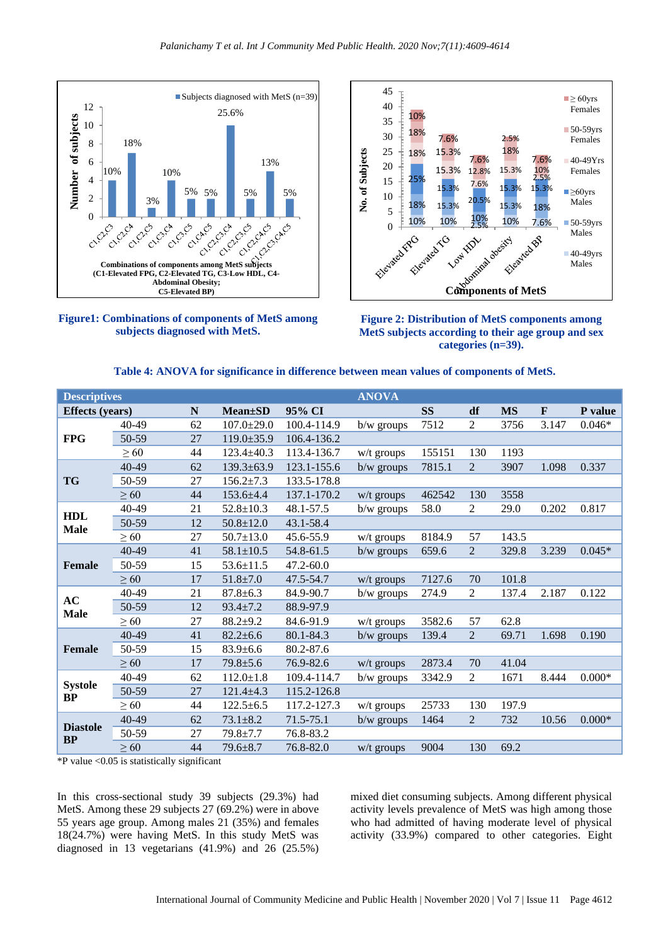





**Figure 2: Distribution of MetS components among MetS subjects according to their age group and sex categories (n=39).**

|  |  |  | Table 4: ANOVA for significance in difference between mean values of components of MetS. |  |
|--|--|--|------------------------------------------------------------------------------------------|--|
|--|--|--|------------------------------------------------------------------------------------------|--|

| <b>Descriptives</b>         |           | <b>ANOVA</b> |                  |               |              |           |                |           |              |          |
|-----------------------------|-----------|--------------|------------------|---------------|--------------|-----------|----------------|-----------|--------------|----------|
| <b>Effects</b> (years)      |           | N            | <b>Mean</b> ±SD  | 95% CI        |              | <b>SS</b> | df             | <b>MS</b> | $\mathbf{F}$ | P value  |
|                             | $40 - 49$ | 62           | $107.0 \pm 29.0$ | 100.4-114.9   | $b/w$ groups | 7512      | 2              | 3756      | 3.147        | $0.046*$ |
| <b>FPG</b>                  | 50-59     | 27           | $119.0 \pm 35.9$ | 106.4-136.2   |              |           |                |           |              |          |
|                             | > 60      | 44           | $123.4 \pm 40.3$ | 113.4-136.7   | $w/t$ groups | 155151    | 130            | 1193      |              |          |
|                             | $40 - 49$ | 62           | $139.3 \pm 63.9$ | 123.1-155.6   | $b/w$ groups | 7815.1    | $\overline{2}$ | 3907      | 1.098        | 0.337    |
| <b>TG</b>                   | 50-59     | 27           | $156.2 \pm 7.3$  | 133.5-178.8   |              |           |                |           |              |          |
|                             | $\geq 60$ | 44           | $153.6 + 4.4$    | 137.1-170.2   | $w/t$ groups | 462542    | 130            | 3558      |              |          |
|                             | 40-49     | 21           | $52.8 \pm 10.3$  | 48.1-57.5     | $b/w$ groups | 58.0      | $\overline{2}$ | 29.0      | 0.202        | 0.817    |
| <b>HDL</b><br><b>Male</b>   | 50-59     | 12           | $50.8 \pm 12.0$  | 43.1-58.4     |              |           |                |           |              |          |
|                             | $\geq 60$ | 27           | $50.7 \pm 13.0$  | 45.6-55.9     | $w/t$ groups | 8184.9    | 57             | 143.5     |              |          |
| Female                      | $40 - 49$ | 41           | $58.1 \pm 10.5$  | 54.8-61.5     | $b/w$ groups | 659.6     | $\overline{2}$ | 329.8     | 3.239        | $0.045*$ |
|                             | 50-59     | 15           | $53.6 \pm 11.5$  | $47.2 - 60.0$ |              |           |                |           |              |          |
|                             | $\geq 60$ | 17           | $51.8 \pm 7.0$   | 47.5-54.7     | $w/t$ groups | 7127.6    | 70             | 101.8     |              |          |
| AC                          | 40-49     | 21           | $87.8 \pm 6.3$   | 84.9-90.7     | $b/w$ groups | 274.9     | $\overline{2}$ | 137.4     | 2.187        | 0.122    |
| <b>Male</b>                 | 50-59     | 12           | $93.4 \pm 7.2$   | 88.9-97.9     |              |           |                |           |              |          |
|                             | $\geq 60$ | 27           | $88.2 + 9.2$     | 84.6-91.9     | w/t groups   | 3582.6    | 57             | 62.8      |              |          |
|                             | $40 - 49$ | 41           | $82.2 \pm 6.6$   | 80.1-84.3     | b/w groups   | 139.4     | $\overline{2}$ | 69.71     | 1.698        | 0.190    |
| <b>Female</b>               | 50-59     | 15           | $83.9 \pm 6.6$   | 80.2-87.6     |              |           |                |           |              |          |
|                             | $\geq 60$ | 17           | $79.8 + 5.6$     | 76.9-82.6     | $w/t$ groups | 2873.4    | 70             | 41.04     |              |          |
|                             | 40-49     | 62           | $112.0 \pm 1.8$  | 109.4-114.7   | $b/w$ groups | 3342.9    | $\overline{2}$ | 1671      | 8.444        | $0.000*$ |
| <b>Systole</b><br><b>BP</b> | 50-59     | 27           | $121.4 \pm 4.3$  | 115.2-126.8   |              |           |                |           |              |          |
|                             | > 60      | 44           | $122.5 \pm 6.5$  | 117.2-127.3   | $w/t$ groups | 25733     | 130            | 197.9     |              |          |
| <b>Diastole</b>             | 40-49     | 62           | $73.1 \pm 8.2$   | 71.5-75.1     | b/w groups   | 1464      | 2              | 732       | 10.56        | $0.000*$ |
| <b>BP</b>                   | 50-59     | 27           | $79.8 + 7.7$     | 76.8-83.2     |              |           |                |           |              |          |
|                             | $\geq 60$ | 44           | $79.6 \pm 8.7$   | 76.8-82.0     | w/t groups   | 9004      | 130            | 69.2      |              |          |

\*P value <0.05 is statistically significant

In this cross-sectional study 39 subjects (29.3%) had MetS. Among these 29 subjects 27 (69.2%) were in above 55 years age group. Among males 21 (35%) and females 18(24.7%) were having MetS. In this study MetS was diagnosed in 13 vegetarians (41.9%) and 26 (25.5%) mixed diet consuming subjects. Among different physical activity levels prevalence of MetS was high among those who had admitted of having moderate level of physical activity (33.9%) compared to other categories. Eight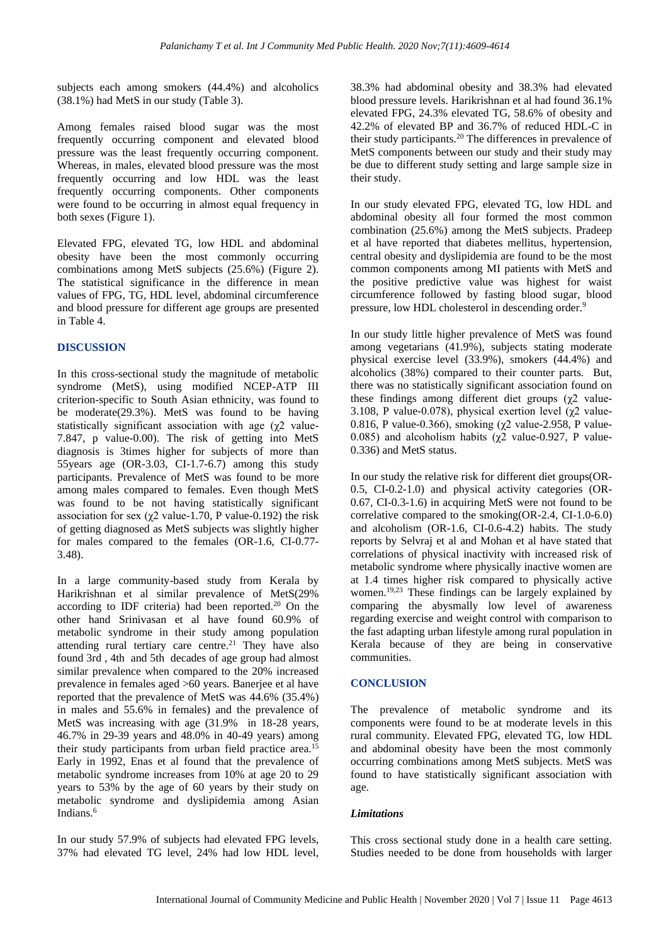subjects each among smokers (44.4%) and alcoholics (38.1%) had MetS in our study (Table 3).

Among females raised blood sugar was the most frequently occurring component and elevated blood pressure was the least frequently occurring component. Whereas, in males, elevated blood pressure was the most frequently occurring and low HDL was the least frequently occurring components. Other components were found to be occurring in almost equal frequency in both sexes (Figure 1).

Elevated FPG, elevated TG, low HDL and abdominal obesity have been the most commonly occurring combinations among MetS subjects (25.6%) (Figure 2). The statistical significance in the difference in mean values of FPG, TG, HDL level, abdominal circumference and blood pressure for different age groups are presented in Table 4.

#### **DISCUSSION**

In this cross-sectional study the magnitude of metabolic syndrome (MetS), using modified NCEP-ATP III criterion-specific to South Asian ethnicity, was found to be moderate(29.3%). MetS was found to be having statistically significant association with age (χ2 value-7.847, p value-0.00). The risk of getting into MetS diagnosis is 3times higher for subjects of more than 55years age (OR-3.03, CI-1.7-6.7) among this study participants. Prevalence of MetS was found to be more among males compared to females. Even though MetS was found to be not having statistically significant association for sex ( $\chi$ 2 value-1.70, P value-0.192) the risk of getting diagnosed as MetS subjects was slightly higher for males compared to the females (OR-1.6, CI-0.77- 3.48).

In a large community-based study from Kerala by Harikrishnan et al similar prevalence of MetS(29% according to IDF criteria) had been reported. $20$  On the other hand Srinivasan et al have found 60.9% of metabolic syndrome in their study among population attending rural tertiary care centre.<sup>21</sup> They have also found 3rd , 4th and 5th decades of age group had almost similar prevalence when compared to the 20% increased prevalence in females aged >60 years. Banerjee et al have reported that the prevalence of MetS was 44.6% (35.4%) in males and 55.6% in females) and the prevalence of MetS was increasing with age (31.9% in 18-28 years, 46.7% in 29-39 years and 48.0% in 40-49 years) among their study participants from urban field practice area.<sup>15</sup> Early in 1992, Enas et al found that the prevalence of metabolic syndrome increases from 10% at age 20 to 29 years to 53% by the age of 60 years by their study on metabolic syndrome and dyslipidemia among Asian Indians.<sup>6</sup>

In our study 57.9% of subjects had elevated FPG levels, 37% had elevated TG level, 24% had low HDL level,

38.3% had abdominal obesity and 38.3% had elevated blood pressure levels. Harikrishnan et al had found 36.1% elevated FPG, 24.3% elevated TG, 58.6% of obesity and 42.2% of elevated BP and 36.7% of reduced HDL-C in their study participants.<sup>20</sup> The differences in prevalence of MetS components between our study and their study may be due to different study setting and large sample size in their study.

In our study elevated FPG, elevated TG, low HDL and abdominal obesity all four formed the most common combination (25.6%) among the MetS subjects. Pradeep et al have reported that diabetes mellitus, hypertension, central obesity and dyslipidemia are found to be the most common components among MI patients with MetS and the positive predictive value was highest for waist circumference followed by fasting blood sugar, blood pressure, low HDL cholesterol in descending order.<sup>9</sup>

In our study little higher prevalence of MetS was found among vegetarians (41.9%), subjects stating moderate physical exercise level (33.9%), smokers (44.4%) and alcoholics (38%) compared to their counter parts. But, there was no statistically significant association found on these findings among different diet groups  $(\chi^2$  value-3.108, P value-0.078), physical exertion level ( $\gamma$ 2 value-0.816, P value-0.366), smoking (χ2 value-2.958, P value-0.085) and alcoholism habits ( $\gamma$ 2 value-0.927, P value-0.336) and MetS status.

In our study the relative risk for different diet groups(OR-0.5, CI-0.2-1.0) and physical activity categories (OR-0.67, CI-0.3-1.6) in acquiring MetS were not found to be correlative compared to the smoking(OR-2.4, CI-1.0-6.0) and alcoholism (OR-1.6, CI-0.6-4.2) habits. The study reports by Selvraj et al and Mohan et al have stated that correlations of physical inactivity with increased risk of metabolic syndrome where physically inactive women are at 1.4 times higher risk compared to physically active women.<sup>19,23</sup> These findings can be largely explained by comparing the abysmally low level of awareness regarding exercise and weight control with comparison to the fast adapting urban lifestyle among rural population in Kerala because of they are being in conservative communities.

#### **CONCLUSION**

The prevalence of metabolic syndrome and its components were found to be at moderate levels in this rural community. Elevated FPG, elevated TG, low HDL and abdominal obesity have been the most commonly occurring combinations among MetS subjects. MetS was found to have statistically significant association with age.

#### *Limitations*

This cross sectional study done in a health care setting. Studies needed to be done from households with larger